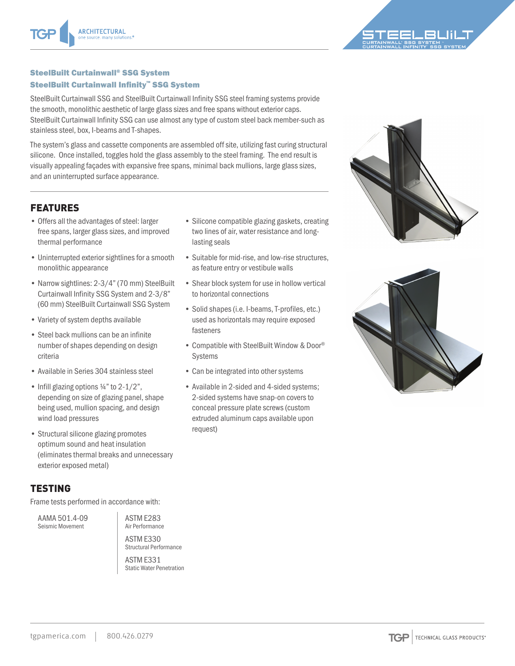

#### SteelBuilt Curtainwall® SSG System SteelBuilt Curtainwall Infinity™ SSG System

SteelBuilt Curtainwall SSG and SteelBuilt Curtainwall Infinity SSG steel framing systems provide the smooth, monolithic aesthetic of large glass sizes and free spans without exterior caps. SteelBuilt Curtainwall Infinity SSG can use almost any type of custom steel back member-such as stainless steel, box, I-beams and T-shapes.

The system's glass and cassette components are assembled off site, utilizing fast curing structural silicone. Once installed, toggles hold the glass assembly to the steel framing. The end result is visually appealing façades with expansive free spans, minimal back mullions, large glass sizes, and an uninterrupted surface appearance.

# FEATURES

- Offers all the advantages of steel: larger free spans, larger glass sizes, and improved thermal performance
- Uninterrupted exterior sightlines for a smooth monolithic appearance
- Narrow sightlines: 2-3/4" (70 mm) SteelBuilt Curtainwall Infinity SSG System and 2-3/8" (60 mm) SteelBuilt Curtainwall SSG System
- Variety of system depths available
- Steel back mullions can be an infinite number of shapes depending on design criteria
- Available in Series 304 stainless steel
- Infill glazing options 1/4" to 2-1/2", depending on size of glazing panel, shape being used, mullion spacing, and design wind load pressures
- Structural silicone glazing promotes optimum sound and heat insulation (eliminates thermal breaks and unnecessary exterior exposed metal)

# TESTING

Frame tests performed in accordance with:

AAMA 501.4-09 Seismic Movement

ASTM E283 Air Performance ASTM E330

Structural Performance

ASTM E331 Static Water Penetration

- Silicone compatible glazing gaskets, creating two lines of air, water resistance and longlasting seals
- Suitable for mid-rise, and low-rise structures, as feature entry or vestibule walls
- Shear block system for use in hollow vertical to horizontal connections
- Solid shapes (i.e. I-beams, T-profiles, etc.) used as horizontals may require exposed fasteners
- Compatible with SteelBuilt Window & Door® Systems
- Can be integrated into other systems
- Available in 2-sided and 4-sided systems; 2-sided systems have snap-on covers to conceal pressure plate screws (custom extruded aluminum caps available upon request)